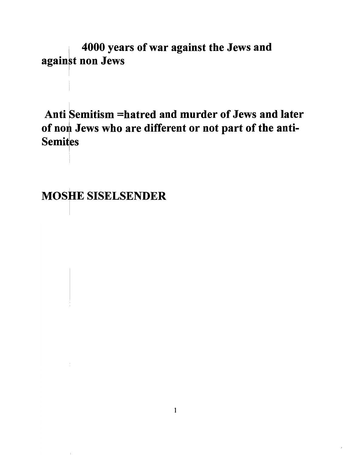4000 years of war against the Jews and against non Jews

Anti Semitism =hatred and murder of Jews and later of non Jews who are different or not part of the anti-**Semites** 

I **MOSHE SISELSENDER**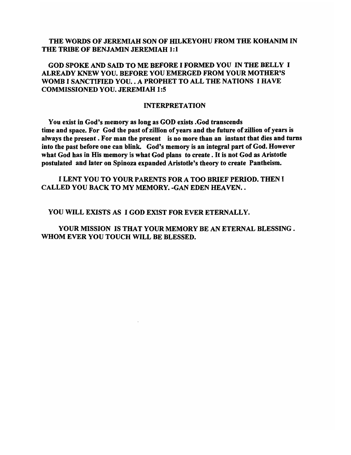## THE WORDS OF JEREMIAH SON OF HILKEYOHU FROM THE KOHANIM IN THE TRIBE OF BENJAMIN JEREMIAH 1:1

# GOD SPOKE AND SAID TO ME BEFORE I FORMED YOU IN THE BELLY I ALREADY KNEW YOU. BEFORE YOU EMERGED FROM YOUR MOTHER'S WOMB I SANCTIFIED YOU. . A PROPHET TO ALL THE NATIONS I HAVE COMMISSIONED YOU. JEREMIAH 1:5

#### INTERPRETATION

You exist in God's memory as long as GOD exists .God transcends time and space. For God the past of zillion of years and the future of zillion of years is always the present. For man the present is no more than an instant that dies and turns into the past before one can blink. God's memory is an integral part of God. However what God has in His memory is what God plans to create. It is not God as Aristotle postulated and later on Spinoza expanded Aristotle's theory to create Pantheism.

## I LENT YOU TO YOUR PARENTS FOR A TOO BRIEF PERIOD. THEN I CALLED YOU BACK TO MY MEMORY. -GAN EDEN HEAVEN..

#### YOU WILL EXISTS AS I GOD EXIST FOR EVER ETERNALLY.

YOUR MISSION IS THAT YOUR MEMORY BE AN ETERNAL BLESSING. WHOM EVER YOU TOUCH WILL BE BLESSED.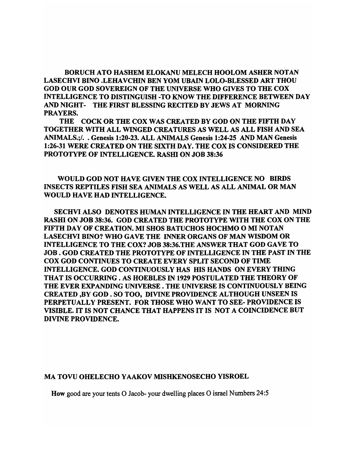BORUCH ATO HASHEM ELOKANU MELECH HOOLOM ASHER NOTAN LASECHVI BINO .LEHA VCHIN BEN YOM UBAIN LOLO-BLESSED ART THOU GOD OUR GOD SOVEREIGN OF THE UNIVERSE WHO GIVES TO THE COX INTELLIGENCE TO DISTINGUISH -TO KNOW THE DIFFERENCE BETWEEN DAY AND NIGHT- THE FIRST BLESSING RECITED BY JEWS AT MORNING PRAYERS.

THE COCK OR THE COX WAS CREATED BY GOD ON THE FIFTH DAY TOGETHER WITH ALL WINGED CREATURES AS WELL AS ALL FISH AND SEA ANIMALS.;/. . Genesis 1:20-23. ALL ANIMALS Genesis 1:24-25 AND MAN Genesis 1:26-31 WERE CREATED ON THE SIXTH DAY. THE COX IS CONSIDERED THE PROTOTYPE OF INTELLIGENCE. RASHI ON JOB 38:36

WOULD GOD NOT HAVE GIVEN THE COX INTELLIGENCE NO BIRDS INSECTS REPTILES FISH SEA ANIMALS AS WELL AS ALL ANIMAL OR MAN WOULD HAVE HAD INTELLIGENCE.

SECHVI ALSO DENOTES HUMAN INTELLIGENCE IN THE HEART AND MIND RASHI ON JOB 38:36. GOD CREATED THE PROTOTYPE WITH THE COX ON THE FIFTH DAY OF CREATION. MI SHOS BATUCHOS HOCHMO O MI NOTAN LASECHVI BINO? WHO GAVE THE INNER ORGANS OF MAN WISDOM OR INTELLIGENCE TO THE COX? JOB 38:36.THE ANSWER THAT GOD GAVE TO JOB. GOD CREATED THE PROTOTYPE OF INTELLIGENCE IN THE PAST IN THE COX GOD CONTINUES TO CREATE EVERY SPLIT SECOND OF TIME INTELLIGENCE. GOD CONTINUOUSLY HAS HIS HANDS ON EVERY THING THAT IS OCCURRING. AS HOEBLES IN 1929 POSTULATED THE THEORY OF THE EVER EXPANDING UNIVERSE. THE UNIVERSE IS CONTINUOUSLY BEING CREATED ,BY GOD. SO TOO, DIVINE PROVIDENCE ALTHOUGH UNSEEN IS PERPETUALLY PRESENT. FOR THOSE WHO WANT TO SEE- PROVIDENCE IS VISIBLE. IT IS NOT CHANCE THAT HAPPENS IT IS NOT A COINCIDENCE BUT DIVINE PROVIDENCE.

#### MA TOVU OHELECHO Y AAKOV MISHKENOSECHO YISROEL

How good are your tents 0 Jacob- your dwelling places 0 israel Numbers 24:5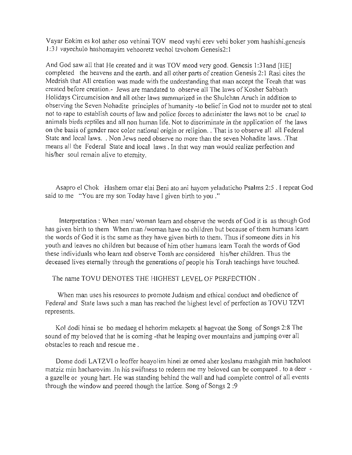Yayar Eokim es kol asher oso vehinai TOV meod vayhi erev vehi boker yom hashishi.genesis 1 :31 vayechulo hashomayim vehooretz vechol tzvohom Genesis2: I

And God sawall that He created and it was TOY meod very good. Genesis I :31 and [HE] completed the heavens and the earth. and all other parts of creation Genesis 2:1 Rasi cites the Medrish that All creation was made with the understanding that man accept the Torah that was created before creation.- Jews are mandated to observe all The laws of Kosher Sabbath Holidays Circumcision and all other laws summarized in the Shulchan Aruch in addition to observing the Seven Nohadite principles of humanity -to belief in God not to murder not to steal not to rape to establish courts of law and police forces to administer the laws not to be cruel to animals birds reptiles and all non human life. Not to discriminate in the application of the laws on the basis of gender race color national origin or religion .. That is to observe all all Federal State and local laws .. Non Jews need observe no more than the seven Nohadite laws . .That means all the Federal State and local laws. In that way man would realize perfection and his/her soul remain alive to eternity.

Asapro el Chok Hashem omar elai Beni ato ani hayom yeladaticho Psalms 2:5 . I repeat God said to me "You are my son Today have I given birth to you ."

Interpretation: When man/ woman learn and observe the words of God it is as though God has given birth to them When man /woman have no children but because of them humans learn the words of God it is the same as they have given birth to them. Thus if someone dies in his youth and leaves no children but because of him other humans learn Torah the words of God these individuals who learn and observe Torah are considered his/her children. Thus the deceased lives eternally through the generations of people his Torah teachings have touched.

The name TOYU DENOTES THE HIGHEST LEVEL OF PERFECTION.

When man uses his resources to promote Judaism and ethical conduct and obedience of Federal and State laws such a man has reached the highest level of perfection as TOVU TZVI represents.

Kol dodi hinai se bo medaeg el hehorim mekapetx al hagvoat the Song of Songs 2:8 The sound of my beloved that he is coming -that he leaping over mountains and jumping over all obstacles to reach and rescue me .

Dome dodi LA TZVI 0 leofier hoayolim hinei ze omed aher koslanu mashgiah min hachaloot matziz min hacharovim .In his swiftness to redeem me my beloved can be compared. to a deer a gazelle or young hart. He was standing behind the wall and had complete control of all events through the window and peered though the lattice. Song of Songs 2 :9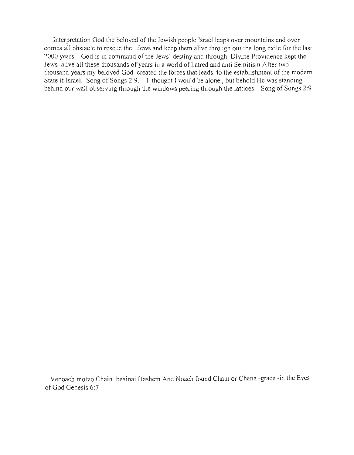Interpretation God the beloved of the Jewish people Israel leaps over mountains and over comes all obstacle to rescue the Jews and keep them alive through out the long exile for the last 2000 years. God is in command of the Jews' destiny and through Divine Providence kept the Jews alive all these thousands of years in a world of hatred and anti Semitism After two thousand years my beloved God created the forces that leads to the establishment of the modern State if Israel. Song of Songs 2:9. I thought I would be alone, but behold He was standing behind our wall observing through the windows peering through the lattices Song of Songs 2:9

Venoach motzo Chain beainai Hashem And Noach found Chain or Chana -grace -in the Eyes of God Genesis 6:7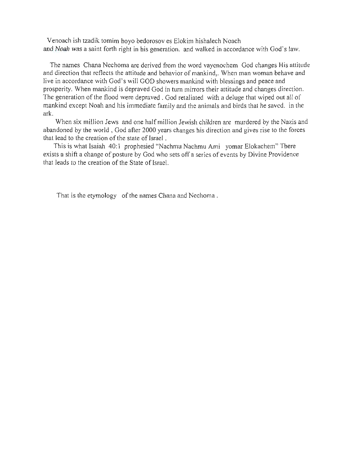Venoach ish tzadik tomim hoyo bedorosov es Elokim hishalech Noach and Noah was a saint forth right in his generation. and walked in accordance with God's law.

The names Chana Nechoma are derived from the word vayenochem God changes His attitude and direction that reflects the attitude and behavior of mankind,. When man woman behave and live in accordance with God's will GOD showers mankind with blessings and peace and prosperity. When mankind is depraved God in tum mirrors their attitude and changes direction . The generation of the flood were depraved. God retaliated with a deluge that wiped out all of manufactured in the model were deprayed. Obligation with a derige that wiped out an or arini<br>1

When six million Jews and one half million Jewish children are murdered by the Nazis and when sta influent lews and one half influent lewish changes hidrocled by the razis and atitioned by the world, God after 2000 years that lead to the creation of the state of Israel.<br>This is what Isaiah 40:1 prophesied "Nachmu Nachmu Ami yomar Elokachem" There

exists a shift a change of posture by God who sets off a series of events by Divine Providence that leads to the creation of the State of Israel.

That is the etymology of the names Chana and Nechoma .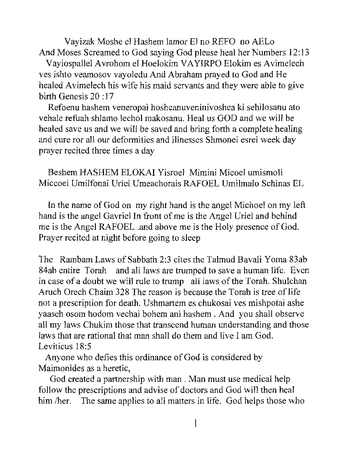Vayizak Moshe el Hashem lamor El no REFO no AELo And Moses Screamed to God saying God please heal her Numbers 12: 13

Vayiospallel Avrohom el Hoelokim VA YIRPO Elokim es A vimelech yes ishto veamosov vayoledu And Abraham prayed to God and He healed Avimelech his wife his maid servants and they were able to give birth Genesis 20 : 17

Refoenu hashem veneropai hosheanuveninivoshea ki sehilosanu ato vehale refuah shlamo lechol makosanu. Heal us GOD and we will be hare refugires in and rection makesaria. Then us  $Q \omega D$  and we will be satisfied in the same of the same of the healing and save us and we will be saved and bring form a complete healing and cure ror all our deformities and illnesses Shmonei esrei week day prayer recited three times a day

Beshem HASHEM ELOKAI Yisroel Mimini Micoel umismoli Miccoel Umilfonai Uriel Umeachorais RAFOEL Umilmalo Schinas EL

 $\mathbf{A}$  is the name of  $G \circ \mathbf{A}$  on my right hand is the angel  $M \circ \mathbf{A}$  of an my left hand is the angel Gavriel In front of me is the Angel Uriel and behind hand is the angel Gavriel In front of me is the Angel Uriel and behind me is the Angel RAFOEL .and above me is the Holy presence of God. Prayer recited at night before going to sleep

The Rambam Laws of Sabbath 2:3 cites the Talmud Bavali Yoma 83ab  $84$ ab entire Torah and  $84$  and  $11$  and save a human life. Even a human life. Even a human life. Even a human life. Even and change to trump and all laws are trumped to save a numation. Even in case of a doubt we will rule to trump all laws of the Torah. Shulchan Aruch Orech Chaim 328 The reason is because the Torah is tree of life not a prescription for death. Ushmartem es chukosai ves mishpotai ashe yaaseh osom hodom vechai bohem ani hashem . And you shaH observe asch osom nodom vechar bohem am hashem. And you shall observe laws that are rational that man shall do them and live I am God. wo that are rather  $A_1$  and  $A_2$  is ordinance of  $G_2$  is considered by

 $M_{\rm H}$  and  $M_{\rm H}$  and  $M_{\rm H}$ God created a partnership with man. Man must use medical help

follow the prescriptions and advise of doctors and God will then heal follow the prescriptions and advise of doctors and God will then heal him /her. The same applies to all matters in life. God helps those who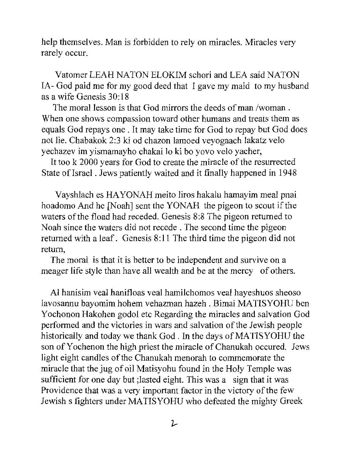help themselves. Man is forbidden to rely on miracles. Miracles very rarely occur.

Vatomer LEAH NATON ELOKIM schori and LEA said NATON IA - God paid me for my good deed that I gave my maid to my husband as a wife Genesis 30:18

The moral lesson is that God mirrors the deeds of man /woman. When one shows compassion toward other humans and treats them as equals God repays one. It may take time for God to repay but God does not lie. Chabakok 2:3 ki od chazon lamoed veyogaach lakatz velo yechazev im yismamayho chakai lo ki bo yovo velo yacher,

It too k 2000 years for God to create the miracle of the resurrected State of Israel. Jews patiently waited and it finally happened in 1948

Vayshlach es HAYONAH meito liros hakalu hamayim meal pnai hoadomo And he [Noah] sent the YONAH the pigeon to scout if the waters of the fload had receded. Genesis 8:8 The pigeon returned to Noah since the waters did not recede. The second time the pigeon returned with a leaf. Genesis 8:11 The third time the pigeon did not return,

The moral is that it is better to be independent and survive on a meager life style than have all wealth and be at the mercy of others.

Al hanisim veal hanifloas veal hamilchomos veal hayeshuos sheoso lavosannu bayomim hohem vehazman hazeh . Bimai MA TISYOHU ben Yochonon Hakohen godol etc Regarding the miracles and salvation God performed and the victories in wars and salvation of the Jewish people historically and today we thank God. In the days of MATISYOHU the son of Yo chen on the high priest the miracle of Chanukah occured. Jews light eight candles of the Chanukah menorah to commemorate the miracle that the jug of oil Matisyohu found in the Holy Temple was sufficient for one day but ;lasted eight. This was a sign that it was Providence that was a very important factor in the victory of the few Jewish s fighters under MATISYOHU who defeated the mighty Greek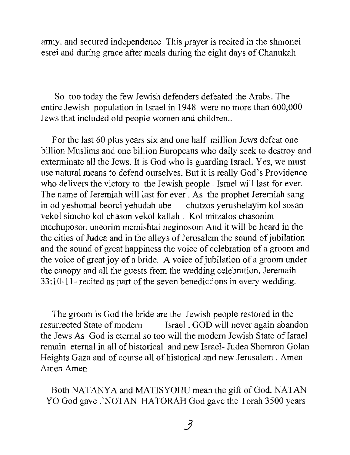army. and secured independence This prayer is recited in the shmonei esrei and during grace after meals during the eight days of Chanukah

So too today the few Jewish defenders defeated the Arabs. The entire Jewish population in Israel in 1948 were no more than 600,000 Jews that included old people women and children...

For the last 60 plus years six and one half million Jews defeat one billion Muslims and one billion Europeans who daily seek to destroy and exterminate all the Jews. It is God who is guarding Israel. Yes, we must use natural means to defend ourselves. But it is really God's Providence who delivers the victory to the Jewish people. Israel will last for ever. The name of Jeremiah will last for ever. As the prophet Jeremiah sang in od yeshomal beorei yehudah ube chutzos yerushelayim kol sosan vekol simcho kol chason vekol kallah. Kol mitzalos chasonim mechuposon uneorim memishtai neginosom And it will be heard in the the cities of Judea and in the alleys of Jerusalem the sound of jubilation and the sound of great happiness the voice of celebration of a groom and the voice of great joy of a bride. A voice of jubilation of a groom under the canopy and all the guests from the wedding celebration. Jeremaih 33: 1 0-11- recited as part of the seven benedictions in every wedding.

The groom is God the bride are the Jewish people restored in the resurrected State of modern Israel. GOD will never again abandon the Jews As God is eternal so too will the modern Jewish State of Israel remain eternal in all of historical and new Israel- Judea Shomron Golan Heights Gaza and of course all of historical and new Jerusalem. Amen Amen Amen

Both NATANYA and MATISYOHUmean the gift of God. NATAN YO God gave .'NOTAN HATORAH God gave the Torah 3500 years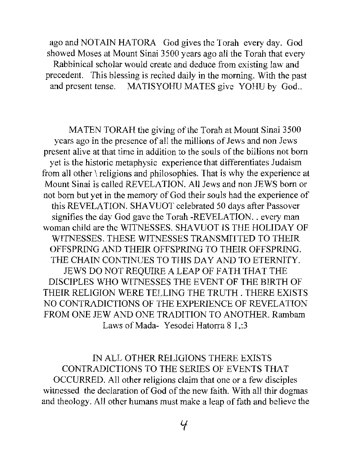ago and NOTAIN HATORA God gives the Torah every day. God showed Moses at Mount Sinai 3500 years ago all the Torah that every Rabbinical scholar would create and deduce from existing law and precedent. This blessing is recited daily in the morning. With the past and present tense. MATISYOHU MATES give YOHU by God..

MATEN TORAH the giving of the Torah at Mount Sinai 3500 years ago in the presence of all the millions of Jews and non Jews present alive at that time in addition to the souls of the billions not born yet is the historic metaphysic experience that differentiates Judaism from all other \ religions and philosophies. That is why the experience at Mount Sinai is called REVELATION. All Jews and non JEWS born or not born but yet in the memory of God their souls had the experience of this REVELATION. SHAVUOT celebrated 50 days after Passover signifies the day God gave the Torah -REVELATION. . every man woman child are the WITNESSES. SHA VUOT IS THE HOLIDAY OF WITNESSES. THESE WITNESSES TRANSMITTED TO THEIR OFFSPRING AND THEIR OFFSPRING TO THEIR OFFSPRING. THE CHAIN CONTINUES TO THIS DAY AND TO ETERNITY. JEWS DO NOT REQUIRE A LEAP OF FATH THAT THE DISCIPLES \VHO WITNESSES THE EVENT OF THE BIRTH OF THEIR RELIGION WERE TELLING THE TRUTH. THERE EXISTS NO CONTRADICTIONS OF THE EXPERIENCE OF REVELATION FROM ONE JEW AND ONE TRADITION TO ANOTHER. Rambam Laws of Mada-Yesodei Hatorra 8 1,:3

IN ALL OTHER RELIGIONS THERE EXISTS CONTRADICTIONS TO THE SERIES OF EVENTS THAT OCCURRED. All other religions claim that one or a few disciples witnessed the declaration of God of the new faith. With all thir dogmas and theology. All other humans must make a leap of fath and believe the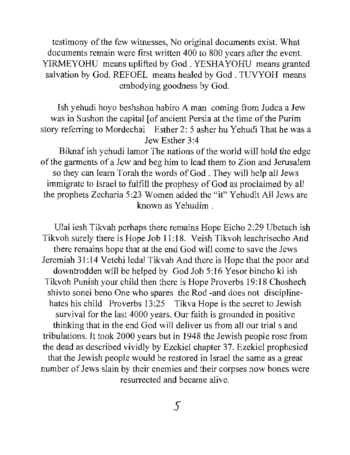testimony of the few witnesses, No original documents exist. What documents remain were first written 400 to 800 years after the event. YIRMEYOHU means uplifted by God. YESHA YOHU means granted salvation by God. REFOEL means healed by God. TUVYOH means embodying goodness by God.

Ish yehudi hoyo beshshon habiro A man coming from Judea a Jew was in Sushon the capital [of ancient Persia at the time of the Purim story referring to Mordechai Esther 2: 5 asher hu Yehudi That he was a Jew Esther 3:4

Biknaf ish yehudi lamor The nations of the world will hold the edge of the garments of a Jew and beg him to lead them to Zion and Jerusalem so they can leam Torah the words of God. They will help all Jews immigrate to Israel to fulfill the prophesy of God as proclaimed by all the prophets Zecharia 5 :23 Women added the "it" Yehudit All Jews are known as Yehudim .

Ulai iesh Tikvah perhaps there remains Hope Eicho 2:29 Ubetach ish Tikvoh surely there is Hope Job 11:18. Veish Tikvoh leachrisecho And there remains hope that at the end God will come to save the Jews Jeremiah 31: 14 Vetehi ledal Tikvah And there is Hope that the poor and downtrodden will be helped by God Job 5:16 Yesor bincho ki ish Tikvoh Punish your child then there is Hope Proverbs 19:18 Choshech shivto sonei beno One who spares the Rod -and does not disciplinehates his child Proverbs 13:25 Tikva Hope is the secret to Jewish survival for the last 4000 years. Our faith is grounded in positive thinking that in the end God will deliver us from all our trial s and tribulations. It took 2000 years but in 1948 the Jewish people rose from the dead as described vividly by Ezekiel chapter 37. Ezekiel prophesied that the Jewish people would be restored in Israel the same as a great number of Jews slain by their enemies and their corpses now bones were resurrected and became alive.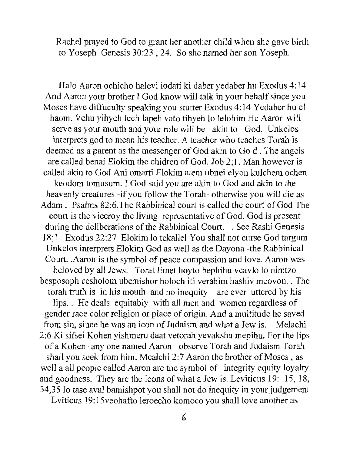Rachel prayed to God to grant her another child when she gave birth to Yoseph Genesis 30:23,24. So she named her son Yoseph.

Halo Aaron ochicho halevi iodati ki daber yedaber hu Exodus 4: 14 And Aaron your brother I God know will talk in your behalf since you Moses have diffuculty speaking you stutter Exodus 4: 14 Yedaber hu el haom. Vehu yihyeh lech lapeh vato tihyeh 10 lelohim He Aaron will serve as your mouth and your role will be akin to God. Unkelos interprets god to mean his teacher. A teacher who teaches Torah is deemed as a parent as the messenger of God akin to Go d . The angels are called benai Elokim the ehidren of God. Job 2; 1. Man however is called akin to God Ani omarti Elokim atem ubnei elvon kulchem ochen keodom tomusum. I God said you are akin to God and akin to the heavenly creatures -if you follow the Torah- otherwise you will die as Adam. Psalms 82:6.The Rabbinical court is called the court of God The court is the viceroy the living representative of God. God is present during the deliberations of the Rabbinical Court. . See Rashi Genesis 18; 1 Exodus 22:27 Elokim 10 tekallel You shall not curse God targum Unkelos interprets Elokim God as well as the Dayona -the Rabbinical Court. . Aaron is the symbol of peace compassion and love. Aaron was beloved by all Jews. Torat Emet hoy to be phihu veavlo lo nimitzo besposoph cesholom ubemishor hoIoeh iti verabim hashiv meovon .. The torah truth is in his mouth and no inequity are ever uttered by his lips. . He deals equitably with all men and women regardless of gender race color religion or place of origin. And a multitude he saved from sin, since he was an icon of Judaism and what a Jew is. Melachi 2:6 Ki sifsei Kohen yishmeru daat vetorah yevakshu mepihu. For the lips of a Kohen -any one named Aaron observe Torah and Judaism Torah shall you seek from him. Mealehi 2:7 Aaron the brother of Moses , as well a all people called Aaron are the symbol of integrity equity loyalty and goodness. They are the icons of what a Jew is. Leviticus 19: 15, 18, 34,35 10 tase aval bamishpot you shall not do inequity in your judgement

Lyiticus 19:15 veohafto leroecho komoco you shall love another as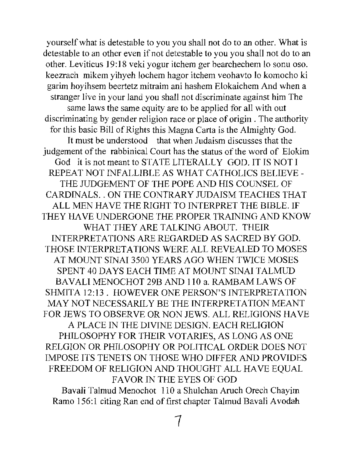yourself what is detestable to you you shall not do to an other. What is detestable to an other even if not detestable to you you shall not do to an other. Leviticus 19: 18 veki yogur itchem ger bearchechem 10 sonu oso. keezrach mikem yihyeh lochem hagor itchem veohavto 10 komocho ki garim hoyihsem beertetz mitraim ani hashem Elokaichem And when a stranger live in your land you shall not discriminate against him The same laws the same equity are to be applied for all with out discriminating by gender religion race or place of origin. The authority for this basic Bill of Rights this Magna Carta is the Almighty God. It must be understood that when Judaism discusses that the judgement of the rabbinical Court has the status of the word of Elokim God it is not meant to STATE LITERALLY GOD. IT IS NOT I REPEAT NOT INFALLIBLE AS WHAT CATHOLICS BELIEVE - THE JUDGEMENT OF THE POPE AND HIS COUNSEL OF CARDINALS .. ON THE CONTRARY JUDAISM TEACHES THAT ALL MEN HAVE THE RIGHT TO INTERPRET THE BIBLE. IF THEY HAVE UNDERGONE THE PROPER TRAINING AND KNOW WHAT THEY ARE TALKING ABOUT. THEIR INTERPRETATIONS ARE REGARDED AS SACRED BY GOD. THOSE INTERPRETATIONS WERE ALL REVEALED TO MOSES AT MOUNT SINAI 3500 YEARS AGO WHEN TWICE MOSES SPENT 40 DAYS EACH TIME AT MOUNT SINAI TALMUD BAVALI MENOCHOT 29B AND 110 a. RAMBAM LAWS OF SHMITA 12:13. HOWEVER ONE PERSON'S INTERPRETATION MAY NOT NECESSARILY BE THE INTERPRETATION MEANT FOR JEWS TO OBSERVE OR NON JEWS. ALL RELIGIONS HA VE A PLACE IN THE DIVINE DESIGN. EACH RELIGION PHILOSOPHY FOR THEIR VOTARIES, AS LONG AS ONE RELGION OR PHILOSOPHY OR POLITICAL ORDER DOES NOT IMPOSE ITS TENETS ON THOSE WHO DIFFER AND PROVIDES FREEDOM OF RELIGION AND THOUGHT ALL HA VE EQUAL FA VOR IN THE EYES OF GOD

Bavali Talmud Menochot 110 a Shulchan Aruch Orech Chayim Ramo 156:1 citing Ran end of first chapter Talmud Bavali Avodah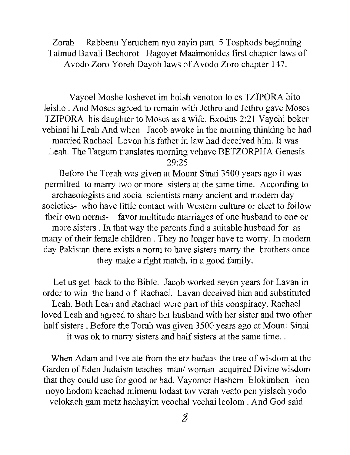Zorah Rabbenu Yeruchem nyu zayin part 5 Tosphods beginning Talmud Bavali Bechorot Hagoyet Maaimonides first chapter laws of Avodo Zoro Yoreh Dayoh laws of Avodo Zoro chapter 147.

Vayoel Moshe loshevet im hoish venoton 10 es TZIPORA bito Ieisho . And Moses agreed to remain with Jethro and Jethro gave Moses TZIPORA his daughter to Moses as a wife. Exodus 2:21 Vayehi boker vehinai hi Leah And when Jacob awoke in the morning thinking he had married Rachael Lovon his father in law had deceived him. It was Leah. The Targum translates morning vehave BETZORPHA Genesis 29:25

Before the Torah was given at Mount Sinai 3500 years ago it was permitted to marry two or more sisters at the same time. According to archaeologists and social scientists many ancient and modem day societies- who have little contact with Western culture or elect to follow their own norms- favor multitude marriages of one husband to one or more sisters. In that way the parents find a suitable husband for as many of their female children. They no longer have to worry. In modem day Pakistan there exists a norm to have sisters marry the brothers once they make a right match. in a good family.

Let us get back to the Bible. Jacob worked seven years for Lavan in order to win the hand 0 f Rachae!. Lavan deceived him and substituted Leah. Both Leah and Rachael were part of this conspiracy. Rachael loved Leah and agreed to share her husband with her sister and two other half sisters. Before the Torah was given 3500 years ago at Mount Sinai it was ok to marry sisters and half sisters at the same time...

When Adam and Eve ate from the etz hadaas the tree of wisdom at the Garden of Eden Judaism teaches *manl* woman acquired Divine wisdom that they could use for good or bad. Vayomer Hashem Elokimhen hen hoyo hodom keachad mimenu lodaat tov verah veato pen yislach yodo velokach gam metz hachayim veochal vechai leolom. And God said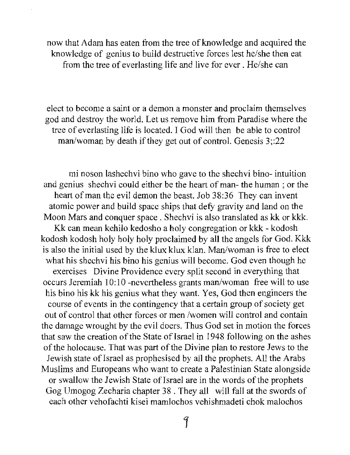now that Adam has eaten from the tree of knowledge and acquired the knowledge of genius to build destructive forces lest he/she then eat from the tree of everlasting life and live for ever. He/she can

elect to become a saint or a demon a monster and proclaim themselves god and destroy the world. Let us remove him from Paradise where the tree of everlasting life is located. I God will then be able to control man/woman by death if they get out of control. Genesis 3;:22

mi noson lashechvi bino who gave to the shechvi bino- intuition and genius shechvi could either be the heart of man- the human; or the heart of man the evil demon the beast. Job 38:36 They can invent atomic power and build space ships that defy gravity and land on the Moon Mars and conquer space. Shechvi is also translated as kk or kkk. Kk can mean kehilo kedosho a holy congregation or kkk - kodosh kodosh kodosh holy holy holy proclaimed by all the angels for God. Kkk is also the initial used by the klux klux klan. Man/woman is free to elect what his shechvi his bino his genius will become. God even though he exercises Divine Providence every split second in everything that occurs Jeremiah 10:10 -nevertheless grants man/woman free will to use his bino his kk his genius what they want. Yes, God then engineers the course of events in the contingency that a certain group of society get out of control that other forces or men /women wilJ control and contain the damage wrought by the evil doers. Thus God set in motion the forces that saw the creation of the State of Israel in 1948 following on the ashes of the holocause. That was part of the Divine plan to restore Jews to the Jewish state of Israel as prophesised by all the prophets. All the Arabs Muslims and Europeans who want to create a Palestinian State alongside or swallow the Jewish State of Israel are in the words of the prophets Gog Umogog Zecharia chapter 38. They all will fall at the swords of each other vehofachti kisei mamlochos vehishmadeti chok malochos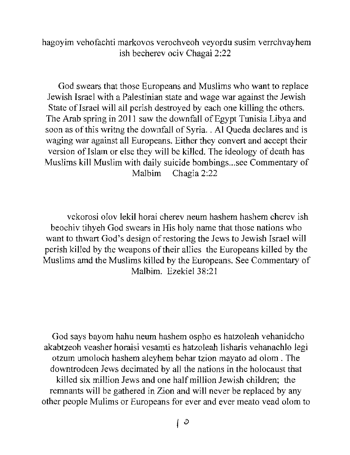hagoyim vehofachti markovos verochveoh veyordu susim verrchvayhem ish becherev ociv Chagai 2:22

God swears that those Europeans and Muslims who want to replace Jewish Israel with a Palestinian state and wage war against the Jewish State of Israel will all perish destroyed by each one killing the others. The Arab spring in 2011 saw the downfall of Egypt Tunisia Libya and soon as of this writng the downfall of Syria .. Al Queda declares and is waging war against all Europeans. Either they convert and accept their version of Islam or else they will be killed. The ideology of death has Muslims kill Muslim with daily suicide bombings ... see Commentary of Malbim Chagia 2:22

vekorosi olov lekil horai eherev neum hashem hashem cherev ish beochiv tihyeh God swears in His holy name that those nations who want to thwart God's design of restoring the Jews to Jewish Israel will perish killed by the weapons of their allies the Europeans killed by the Muslims amd the Muslims killed by the Europeans. See Commentary of Malbim. Ezekiel 38:21

God says bayom hahu neum hashem ospho es hatzoleah vehanidcho akabtzeoh veasher horaisi vesamti es hatzoleah lisharis vehanachlo legi otzum umoloch hashem aleyhem behar tzion mayato ad olom . The downtrodeen Jews decimated by all the nations in the holocaust that killed six million Jews and one half million Jewish children; the remnants will be gathered in Zion and will never be replaced by any other people Mulims or Europeans for ever and ever meato vead olom to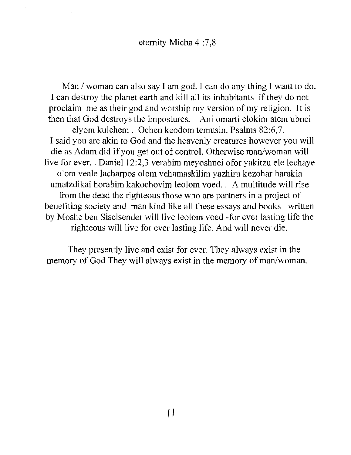Man / woman can also say I am god. I can do any thing I want to do. I can destroy the planet earth and kill all its inhabitants if they do not proclaim me as their god and \vorship my version of my religion. It is then that God destroys the impostures. Ani omarti elokim atem ubnei elyom ku1chem. Ochen keodom temusin. Psalms 82:6,7. I said you are akin to God and the heavenly creatures however you will die as Adam did if you get out of control. Otherwise man/woman will live for ever. . Daniel 12:2,3 verabim meyoshnei of or yakitzu ele lechaye olom veale lacharpos olom vehamaskilim yazhiru kezohar harakia umatzdikai horabim kakochovim leolom voed. . A multitude will rise from the dead the righteous those who are partners in a project of benefiting society and man kind like all these essays and books written by Moshe ben Siselsender wi11live leolom voed -for ever lasting life the righteous will live for ever lasting life. And will never die.

They presently live and exist for ever. They always exist in the memory of God They will always exist in the memory of man/woman.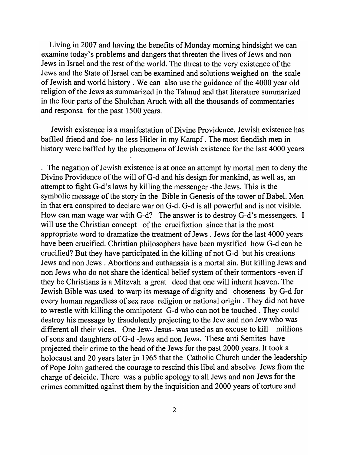Living in 2007 and having the benefits of Monday morning hindsight we can examine today's problems and dangers that threaten the lives of Jews and non Jews in Israel and the rest of the world. The threat to the very existence of the Jews and the State of Israel can be examined and solutions weighed on the scale of Jewish and world history. We can also use the guidance of the 4000 year old religion of the Jews as summarized in the Talmud and that literature summarized in the four parts of the Shulchan Aruch with all the thousands of commentaries and responsa for the past 1500 years.

Jewish existence is a manifestation of Divine Providence. Jewish existence has baffled friend and foe- no less Hitler in my Kampf. The most fiendish men in history were baffled by the phenomena of Jewish existence for the last 4000 years

. The negation of Jewish existence is at once an attempt by mortal men to deny the Divine Providence of the will of G-d and his design for mankind, as well as, an attempt to fight G-d's laws by killing the messenger -the Jews. This is the symbolid message of the story in the Bible in Genesis of the tower of Babel. Men in that era conspired to declare war on G-d. G-d is all powerful and is not visible. How can man wage war with G-d? The answer is to destroy G-d's messengers. I will use the Christian concept of the crucifixtion since that is the most appropriate word to dramatize the treatment of Jews . Jews for the last 4000 years have been crucified. Christian philosophers have been mystified how G-d can be crucified? But they have participated in the killing of not G-d but his creations Jews and non Jews. Abortions and euthanasia is a mortal sin. But killing Jews and non Jew $\frac{1}{2}$  who do not share the identical belief system of their tormentors -even if they be <Christians is a Mitzvah a great deed that one will inherit heaven. The Jewish Bible was used to warp its message of dignity and choseness by G-d for every human regardless of sex race religion or national origin. They did not have to wrestle with killing the omnipotent G-d who can not be touched. They could destroy his message by fraudulently projecting to the Jew and non Jew who was different all their vices. One Jew- Jesus- was used as an excuse to kill millions of sons and daughters of G-d -Jews and non Jews. These anti Semites have projected their crime to the head of the Jews for the past 2000 years. It took a holocaust and 20 years later in 1965 that the Catholic Church under the leadership of Pope John gathered the courage to rescind this libel and absolve Jews from the charge of deicide. There was a public apology to all Jews and non Jews for the crimes committed against them by the inquisition and 2000 years of torture and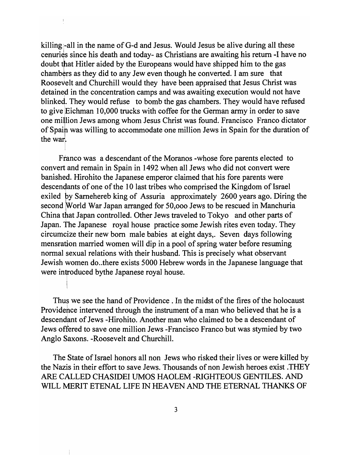killing -all in the name of G-d and Jesus. Would Jesus be alive during all these cenuries since his death and today- as Christians are awaiting his return -I have no doubt that Hitler aided by the Europeans would have shipped him to the gas chambers as they did to any Jew even though he converted. I am sure that Roosevelt and Churchill would they have been appraised that Jesus Christ was detained in the concentration camps and was awaiting execution would not have blinked. They would refuse to bomb the gas chambers. They would have refused to give Eichman 10,000 trucks with coffee for the German army in order to save one million Jews among whom Jesus Christ was found. Francisco Franco dictator of Spain was willing to accommodate one million Jews in Spain for the duration of  $\frac{1}{2}$  the war.

 $\frac{1}{2}$ 

Franco was a descendant of the Moranos -whose fore parents elected to convert and remain in Spain in 1492 when all Jews who did not convert were banished. Hirohito the Japanese emperor claimed that his fore parents were descendants of one of the 10 last tribes who comprised the Kingdom of Israel exiled py Samehereb king of Assuria approximately 2600 years ago. Diring the second World War Japan arranged for 50,000 Jews to be rescued in Manchuria China that Japan controlled. Other Jews traveled to Tokyo and other parts of Japan. The Japanese royal house practice some Jewish rites even today. They circumcize their new born male babies at eight days,. Seven days following mensration married women will dip in a pool of spring water before resuming normal sexual relations with their husband. This is precisely what observant Jewish women do..there exists 5000 Hebrew words in the Japanese language that were introduced bythe Japanese royal house.

Thus we see the hand of Providence . In the midst of the fires of the holocaust Providehce intervened through the instrument of a man who believed that he is a descendant of Jews -Hirohito. Another man who claimed to be a descendant of Jews offered to save one million Jews -Francisco Franco but was stymied by two Anglo Saxons. -Roosevelt and Churchill.

The State of Israel honors all non Jews who risked their lives or were killed by the Nazis in their effort to save Jews. Thousands of non Jewish heroes exist .THEY ARE CALLED CHASIDEI UMOS HAOLEM -RIGHTEOUS GENTILES. AND WILL MERIT ETENAL LIFE IN HEAVEN AND THE ETERNAL THANKS OF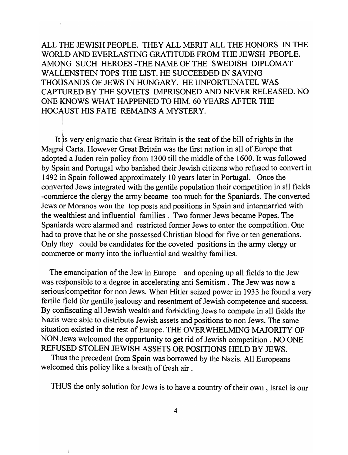ALL THE JEWISH PEOPLE. THEY ALL MERIT ALL THE HONORS IN THE WORLD AND EVERLASTING GRATITUDE FROM THE JEWSH PEOPLE. AMONG SUCH HEROES-THE NAME OF THE SWEDISH DIPLOMAT WALLENSTEIN TOPS THE LIST. HE SUCCEEDED IN SAVING THOUSANDS OF JEWS IN HUNGARY. HE UNFORTUNATEL WAS CAPTURED BY THE SOVIETS IMPRISONED AND NEVER RELEASED. NO ONE KNOWS WHAT HAPPENED TO HIM. 60 YEARS AFTER THE HOCAUST HIS FATE REMAINS A MYSTERY.

 $\frac{1}{4}$ 

 $\frac{1}{2}$ 

It is very enigmatic that Great Britain is the seat of the bill of rights in the Magna Carta. However Great Britain was the first nation in all of Europe that adopted a Juden rein policy from 1300 till the middle of the 1600. It was followed by Spain and Portugal who banished their Jewish citizens who refused to convert in 1492 in Spain followed approximately 10 years later in Portugal. Once the converted Jews integrated with the gentile population their competition in all fields -commerce the clergy the army became too much for the Spaniards. The converted Jews ot Moranos won the top posts and positions in Spain and intermarried with the wealthiest and influential families. Two former Jews became Popes. The Spaniards were alarmed and restricted former Jews to enter the competition. One had to prove that he or she possessed Christian blood for five or ten generations. Only they could be candidates for the coveted positions in the army clergy or commerce or marry into the influential and wealthy families.

The emancipation of the Jew in Europe and opening up all fields to the Jew was responsible to a degree in accelerating anti Semitism. The Jew was now a serious competitor for non Jews. When Hitler seized power in 1933 he found a very fertile field for gentile jealousy and resentment of Jewish competence and success. By confiscating all Jewish wealth and forbidding Jews to compete in all fields the Nazis were able to distribute Jewish assets and positions to non Jews. The same situation existed in the rest of Europe. THE OVERWHELMING MAJORITY OF NON Jews welcomed the opportunity to get rid of Jewish competition. NO ONE REFUSED STOLEN JEWISH ASSETS OR POSITIONS HELD BY JEWS.

Thus the precedent from Spain was borrowed by the Nazis. All Europeans welcomed this policy like a breath of fresh air.

THUS the only solution for Jews is to have a country of their own, Israel is our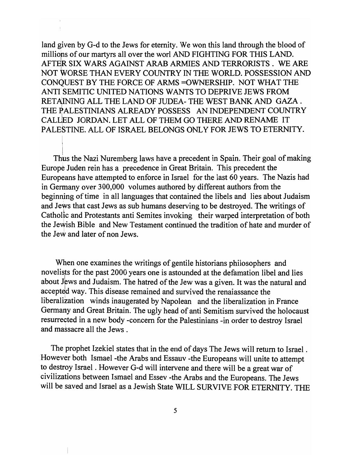land given by G-d to the Jews for eternity. We won this land through the blood of millions of our martyrs all over the worl AND FIGHTING FOR THIS LAND. AFTER SIX WARS AGAINST ARAB ARMIES AND TERRORISTS. WE ARE NOT WORSE THAN EVERY COUNTRY IN THE WORLD. POSSESSION AND CONQUEST BY THE FORCE OF ARMS =OWNERSHIP. NOT WHAT THE ANTI: SEMITIC UNITED NATIONS WANTS TO DEPRIVE JEWS FROM RETAINING ALL THE LAND OF JUDEA- THE WEST BANK AND GAZA. THE PALESTINIANS ALREADY POSSESS AN INDEPENDENT COUNTRY CALUED JORDAN. LET ALL OF THEM GO THERE AND RENAME IT PALESTINE. ALL OF ISRAEL BELONGS ONLY FOR JEWS TO ETERNITY.

Thus the Nazi Nuremberg laws have a precedent in Spain. Their goal of making Europe Juden rein has a precedence in Great Britain. This precedent the Europeans have attempted to enforce in Israel for the last 60 years. The Nazis had in Germany over 300,000 volumes authored by different authors from the beginning of time in all languages that contained the libels and lies about Judaism and Jews that cast Jews as sub humans deserving to be destroyed. The writings of Catholic and Protestants anti Semites invoking their warped interpretation of both the Jewish Bible and New Testament continued the tradition of hate and murder of the Jew and later of non Jews.

When one examines the writings of gentile historians philosophers and novelists for the past 2000 years one is astounded at the defamation libel and lies about Jews and Judaism. The hatred of the Jew was a given. It was the natural and accepted way. This disease remained and survived the renaiassance the liberalization winds inaugerated by Napolean and the liberalization in France Germany and Great Britain. The ugly head of anti Semitism survived the holocaust resurrected in a new body -concern for the Palestinians -in order to destroy Israel and massacre all the Jews .

The prophet Izekiel states that in the end of days The Jews will return to Israel . However both Ismael -the Arabs and Essauv -the Europeans will unite to attempt to destroy Israel . However G-d will intervene and there will be a great war of civilizations between Ismael and Essev -the Arabs and the Europeans. The Jews will be saved and Israel as a Jewish State WILL SURVIVE FOR ETERNITY. THE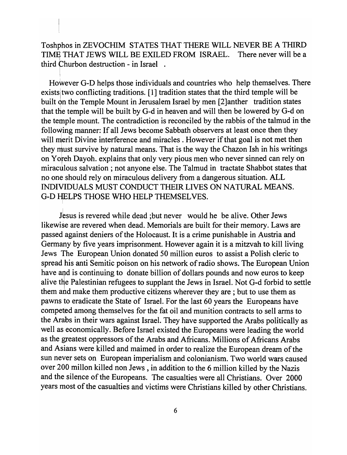Toshphos in ZEVOCHIM STATES THAT THERE WILL NEVER BE A THIRD TIME THAT JEWS WILL BE EXILED FROM ISRAEL. There never will be a third Churbon destruction - in Israel .

However G-D helps those individuals and countries who help themselves. There exists two conflicting traditions.  $[1]$  tradition states that the third temple will be built on the Temple Mount in Jerusalem Israel by men [2]anther tradition states that the temple will be built by G-d in heaven and will then be lowered by G-d on the temple mount. The contradiction is reconciled by the rabbis of the talmud in the following manner: If all Jews become Sabbath observers at least once then they will merit Divine interference and miracles. However if that goal is not met then they must survive by natural means. That is the way the Chazon Ish in his writings on Yoreh Dayoh. explains that only very pious men who never sinned can rely on miraculous salvation; not anyone else. The Talmud in tractate Shabbot states that no one should rely on miraculous delivery from a dangerous situation. ALL INDIVIDUALS MUST CONDUCT THEIR LIVES ON NATURAL MEANS. G-D HELPS THOSE WHO HELP THEMSELVES.

Jesus is revered while dead ; but never would he be alive. Other Jews likewise are revered when dead. Memorials are built for their memory. Laws are passed against deniers of the Holocaust. It is a crime punishable in Austria and Germany by five years imprisonment. However again it is a mitzvah to kill living Jews The European Union donated 50 million euros to assist a Polish cleric to spread his anti Semitic poison on his network of radio shows. The European Union have and is continuing to donate billion of dollars pounds and now euros to keep alive the Palestinian refugees to supplant the Jews in Israel. Not G-d forbid to settle them and make them productive citizens wherever they are ; but to use them as pawns to eradicate the State of Israel. For the last 60 years the Europeans have competed among themselves for the fat oil and munition contracts to sell arms to the Arabs in their wars against Israel. They have supported the Arabs politically as well as economically. Before Israel existed the Europeans were leading the world as the greatest oppressors of the Arabs and Africans. Millions of Africans Arabs and Asians were killed and maimed in order to realize the European dream of the sun never sets on European imperialism and colonianism. Two world wars caused over 200 millon killed non Jews, in addition to the 6 million killed by the Nazis and the silence of the Europeans. The casualties were all Christians. Over 2000 years most of the casualties and victims were Christians killed by other Christians.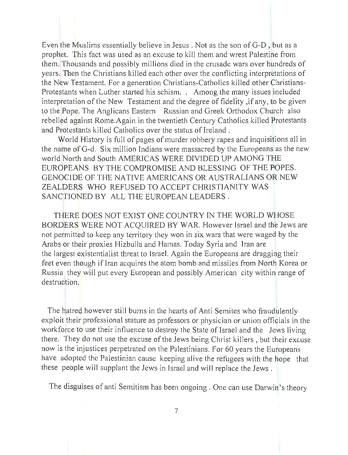Even the Muslims essentially believe in Jesus . Not as the son of G-D , but as a prophet. This fact was used as an excuse to kill them and wrest Palestine from them. Thousands and possibly millions died in the crusade wars over hundreds of years. Then the Christians killed each other over the conflicting interpretations of the New Testament. For a generation Christians-Catholics killed other Christians-Protestants when Luther started his schism. . Among the many issues included interpretation of the New Testament and the degree of fidelity ,if any, to be given to the Pope. The Anglicans Eastern Russian and Greek Orthodox Church also rebelled against Rome. Again in the twentieth Century Catholics killed Protestants and Protestants killed Catholics over the status of Ireland.

World History is full of pages of murder robbery rapes and inquisitions all in the name of G-d. Six million Indians were massacred by the Europeans as the new world North and South AMERICAS WERE DIVIDED UP AMONG THE EUROPEANS BY THE COMPROMISE AND BLESSING OF THE POPES. GENOCIDE OF THE NATIVE AMERICANS OR AUSTRALIANS OR NEW ZEALDERS WHO REFUSED TO ACCEPT CHRISTIANITY WAS SANCTIONED BY ALL THE EUROPEAN LEADERS.

THERE DOES NOT EXIST ONE COUNTRY IN THE WORLD WHOSE BORDERS WERE NOT ACQUIRED BY WAR. However Israel and the Jews are not permitted to keep any territory they won in six wars that were waged by the Arabs or their proxies Hizbulla and Hamas. Today Syria and Iran are the largest existentialist threat to Israel. Again the Europeans are dragging their feet even though if Iran acquires the atom bomb and missiles from North Korea or Russia they will put every European and possibly American city within range of destruction.

The hatred however still burns in the hearts of Anti Semites who fraudulently exploit their professional stature as professors or physician or union officials in the workforce to use their influence to destroy the State of Israel and the Jews living there. They do not use the excuse of the Jews being Christ killers, but their excuse now is the injustices perpetrated on the Palestinians. For 60 years the Europeans have adopted the Palestinian cause keeping alive the refugees with the hope that these people will supplant the Jews in Israel and will replace the Jews.

The disguises of anti Semitism has been ongoing. One can use Darwin 's theory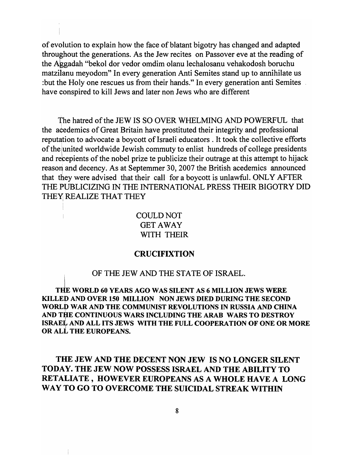of evolution to explain how the face of blatant bigotry has changed and adapted throughout the generations. As the Jew recites on Passover eve at the reading of the Aggadah "bekol dor vedor omdim olanu lechalosanu vehakodosh boruchu matzilanu meyodom" In every generation Anti Semites stand up to annihilate us : but the Holy one rescues us from their hands." In every generation anti Semites . have conspired to kill Jews and later non Jews who are different

The hatred of the JEW IS SO OVER WHELMING AND POWERFUL that the acedemics of Great Britain have prostituted their integrity and professional reputation to advocate a boycott of Israeli educators . It took the collective efforts of the united worldwide Jewish commuty to enlist hundreds of college presidents and recepients of the nobel prize te publicize their outrage at this attempt to hijack reason and decency. As at Septemmer 30, 2007 the British acedemics announced that they were advised that their call for a boycott is unlawful. ONLY AFTER THE PUBLICIZING IN THE INTERNATIONAL PRESS THEIR BIGOTRY DID THEY REALIZE THAT THEY

> COULD NOT GET AWAY WITH THEIR

# CRUCIFIXTION

OF THE JEW AND THE STATE OF ISRAEL.

THE WORLD 60 YEARS AGO WAS SILENT AS 6 MILLION JEWS WERE KILLED AND OVER 150 MILLION NON JEWS DIED DURING THE SECOND I WORLD WAR AND THE COMMUNIST REVOLUTIONS IN RUSSIA AND CHINA <sup>I</sup> AND THE CONTINUOUS WARS INCLUDING THE ARAB WARS TO DESTROY <sup>I</sup> ISRAEL AND ALL ITS JEWS WITH THE FULL COOPERATION OF ONE OR MORE OR ALL THE EUROPEANS.

THE JEW AND THE DECENT NON JEW IS NO LONGER SILENT TODA Y. THE JEW NOW POSSESS ISRAEL AND THE ABILITY TO RETALIATE, HOWEVER EUROPEANS AS A WHOLE HAVE A LONG WAY TO GO TO OVERCOME THE SUICIDAL STREAK WITHIN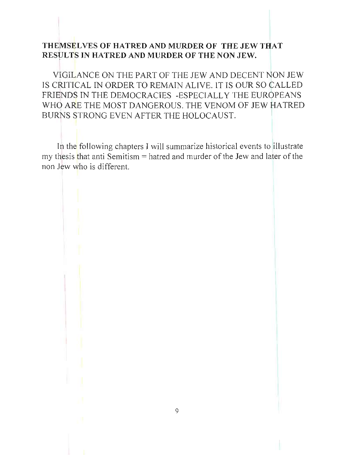# THEMSELVES OF HATRED AND MURDER OF THE JEW THAT RESULTS IN HATRED AND MURDER OF THE NON JEW.

VIGILANCE ON THE PART OF THE JEW AND DECENT NON JEW IS CRITICAL IN ORDER TO REMAIN ALIVE. IT IS OUR SO CALLED FRIENDS IN THE DEMOCRACIES -ESPECIALLY THE EUROPEANS WHO ARE THE MOST DANGEROUS. THE VENOM OF JEW HATRED BURNS STRONG EVEN AFTER THE HOLOCAUST.

In the following chapters I will summarize historical events to illustrate my thesis that anti Semitism  $=$  hatred and murder of the Jew and later of the non Jew who is different.